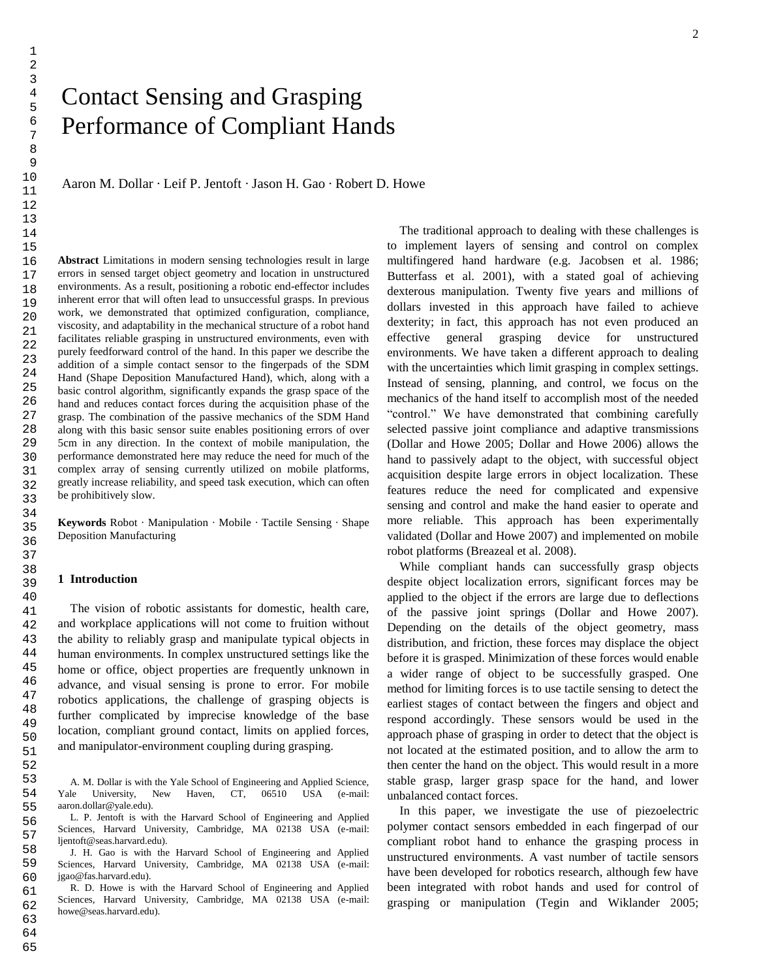# Contact Sensing and Grasping Performance of Compliant Hands

Aaron M. Dollar · Leif P. Jentoft · Jason H. Gao · Robert D. Howe

**Abstract** Limitations in modern sensing technologies result in large errors in sensed target object geometry and location in unstructured environments. As a result, positioning a robotic end-effector includes inherent error that will often lead to unsuccessful grasps. In previous work, we demonstrated that optimized configuration, compliance, viscosity, and adaptability in the mechanical structure of a robot hand facilitates reliable grasping in unstructured environments, even with purely feedforward control of the hand. In this paper we describe the addition of a simple contact sensor to the fingerpads of the SDM Hand (Shape Deposition Manufactured Hand), which, along with a basic control algorithm, significantly expands the grasp space of the hand and reduces contact forces during the acquisition phase of the grasp. The combination of the passive mechanics of the SDM Hand along with this basic sensor suite enables positioning errors of over 5cm in any direction. In the context of mobile manipulation, the performance demonstrated here may reduce the need for much of the complex array of sensing currently utilized on mobile platforms, greatly increase reliability, and speed task execution, which can often be prohibitively slow.

**Keywords** Robot · Manipulation · Mobile · Tactile Sensing · Shape Deposition Manufacturing

### **1 Introduction**

The vision of robotic assistants for domestic, health care, and workplace applications will not come to fruition without the ability to reliably grasp and manipulate typical objects in human environments. In complex unstructured settings like the home or office, object properties are frequently unknown in advance, and visual sensing is prone to error. For mobile robotics applications, the challenge of grasping objects is further complicated by imprecise knowledge of the base location, compliant ground contact, limits on applied forces, and manipulator-environment coupling during grasping.

A. M. Dollar is with the Yale School of Engineering and Applied Science, Yale University, New Haven, CT, 06510 USA (e-mail: aaron.dollar@yale.edu).

L. P. Jentoft is with the Harvard School of Engineering and Applied Sciences, Harvard University, Cambridge, MA 02138 USA (e-mail: ljentoft@seas.harvard.edu).

58 59 60 J. H. Gao is with the Harvard School of Engineering and Applied Sciences, Harvard University, Cambridge, MA 02138 USA (e-mail: jgao@fas.harvard.edu).

R. D. Howe is with the Harvard School of Engineering and Applied Sciences, Harvard University, Cambridge, MA 02138 USA (e-mail: howe@seas.harvard.edu).

The traditional approach to dealing with these challenges is to implement layers of sensing and control on complex multifingered hand hardware (e.g. Jacobsen et al. 1986; Butterfass et al. 2001), with a stated goal of achieving dexterous manipulation. Twenty five years and millions of dollars invested in this approach have failed to achieve dexterity; in fact, this approach has not even produced an effective general grasping device for unstructured environments. We have taken a different approach to dealing with the uncertainties which limit grasping in complex settings. Instead of sensing, planning, and control, we focus on the mechanics of the hand itself to accomplish most of the needed "control." We have demonstrated that combining carefully selected passive joint compliance and adaptive transmissions (Dollar and Howe 2005; Dollar and Howe 2006) allows the hand to passively adapt to the object, with successful object acquisition despite large errors in object localization. These features reduce the need for complicated and expensive sensing and control and make the hand easier to operate and more reliable. This approach has been experimentally validated (Dollar and Howe 2007) and implemented on mobile robot platforms (Breazeal et al. 2008).

While compliant hands can successfully grasp objects despite object localization errors, significant forces may be applied to the object if the errors are large due to deflections of the passive joint springs (Dollar and Howe 2007). Depending on the details of the object geometry, mass distribution, and friction, these forces may displace the object before it is grasped. Minimization of these forces would enable a wider range of object to be successfully grasped. One method for limiting forces is to use tactile sensing to detect the earliest stages of contact between the fingers and object and respond accordingly. These sensors would be used in the approach phase of grasping in order to detect that the object is not located at the estimated position, and to allow the arm to then center the hand on the object. This would result in a more stable grasp, larger grasp space for the hand, and lower unbalanced contact forces.

In this paper, we investigate the use of piezoelectric polymer contact sensors embedded in each fingerpad of our compliant robot hand to enhance the grasping process in unstructured environments. A vast number of tactile sensors have been developed for robotics research, although few have been integrated with robot hands and used for control of grasping or manipulation (Tegin and Wiklander 2005;

64 65

61 62 63

55 56 57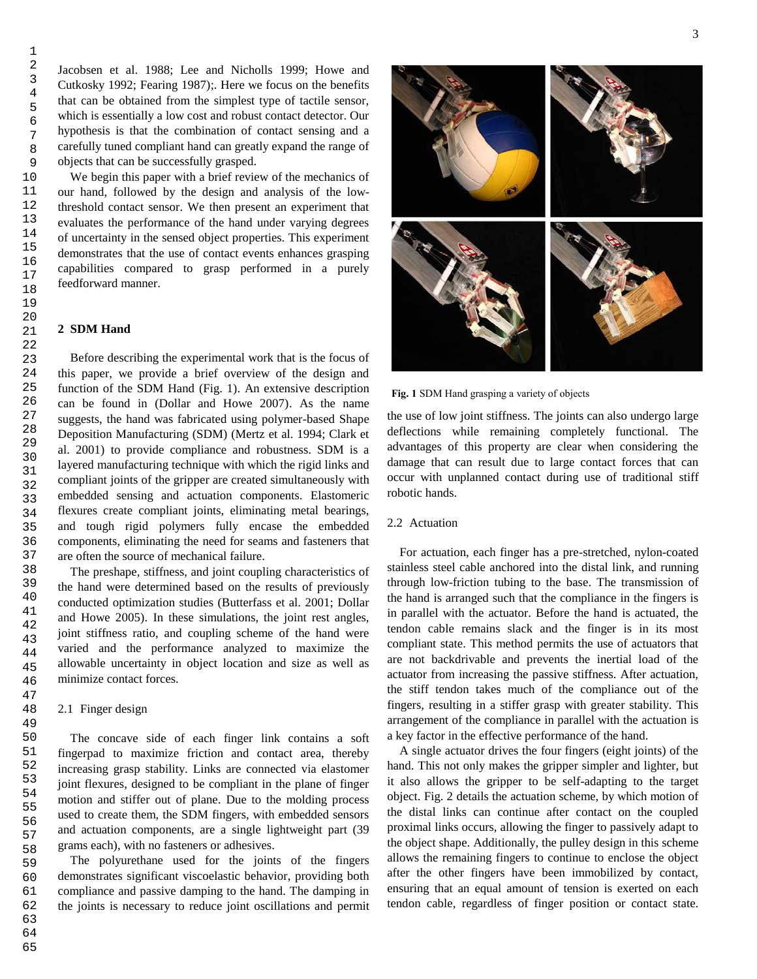Jacobsen et al. 1988; Lee and Nicholls 1999; Howe and Cutkosky 1992; Fearing 1987);. Here we focus on the benefits that can be obtained from the simplest type of tactile sensor, which is essentially a low cost and robust contact detector. Our hypothesis is that the combination of contact sensing and a carefully tuned compliant hand can greatly expand the range of objects that can be successfully grasped.

We begin this paper with a brief review of the mechanics of our hand, followed by the design and analysis of the lowthreshold contact sensor. We then present an experiment that evaluates the performance of the hand under varying degrees of uncertainty in the sensed object properties. This experiment demonstrates that the use of contact events enhances grasping capabilities compared to grasp performed in a purely feedforward manner.

## **2 SDM Hand**

Before describing the experimental work that is the focus of this paper, we provide a brief overview of the design and function of the SDM Hand (Fig. 1). An extensive description can be found in (Dollar and Howe 2007). As the name suggests, the hand was fabricated using polymer-based Shape Deposition Manufacturing (SDM) (Mertz et al. 1994; Clark et al. 2001) to provide compliance and robustness. SDM is a layered manufacturing technique with which the rigid links and compliant joints of the gripper are created simultaneously with embedded sensing and actuation components. Elastomeric flexures create compliant joints, eliminating metal bearings, and tough rigid polymers fully encase the embedded components, eliminating the need for seams and fasteners that are often the source of mechanical failure.

The preshape, stiffness, and joint coupling characteristics of the hand were determined based on the results of previously conducted optimization studies (Butterfass et al. 2001; Dollar and Howe 2005). In these simulations, the joint rest angles, joint stiffness ratio, and coupling scheme of the hand were varied and the performance analyzed to maximize the allowable uncertainty in object location and size as well as minimize contact forces.

## 2.1 Finger design

The concave side of each finger link contains a soft fingerpad to maximize friction and contact area, thereby increasing grasp stability. Links are connected via elastomer joint flexures, designed to be compliant in the plane of finger motion and stiffer out of plane. Due to the molding process used to create them, the SDM fingers, with embedded sensors and actuation components, are a single lightweight part (39 grams each), with no fasteners or adhesives.

The polyurethane used for the joints of the fingers demonstrates significant viscoelastic behavior, providing both compliance and passive damping to the hand. The damping in the joints is necessary to reduce joint oscillations and permit



**Fig. 1** SDM Hand grasping a variety of objects

the use of low joint stiffness. The joints can also undergo large deflections while remaining completely functional. The advantages of this property are clear when considering the damage that can result due to large contact forces that can occur with unplanned contact during use of traditional stiff robotic hands.

## 2.2 Actuation

For actuation, each finger has a pre-stretched, nylon-coated stainless steel cable anchored into the distal link, and running through low-friction tubing to the base. The transmission of the hand is arranged such that the compliance in the fingers is in parallel with the actuator. Before the hand is actuated, the tendon cable remains slack and the finger is in its most compliant state. This method permits the use of actuators that are not backdrivable and prevents the inertial load of the actuator from increasing the passive stiffness. After actuation, the stiff tendon takes much of the compliance out of the fingers, resulting in a stiffer grasp with greater stability. This arrangement of the compliance in parallel with the actuation is a key factor in the effective performance of the hand.

A single actuator drives the four fingers (eight joints) of the hand. This not only makes the gripper simpler and lighter, but it also allows the gripper to be self-adapting to the target object. Fig. 2 details the actuation scheme, by which motion of the distal links can continue after contact on the coupled proximal links occurs, allowing the finger to passively adapt to the object shape. Additionally, the pulley design in this scheme allows the remaining fingers to continue to enclose the object after the other fingers have been immobilized by contact, ensuring that an equal amount of tension is exerted on each tendon cable, regardless of finger position or contact state.

3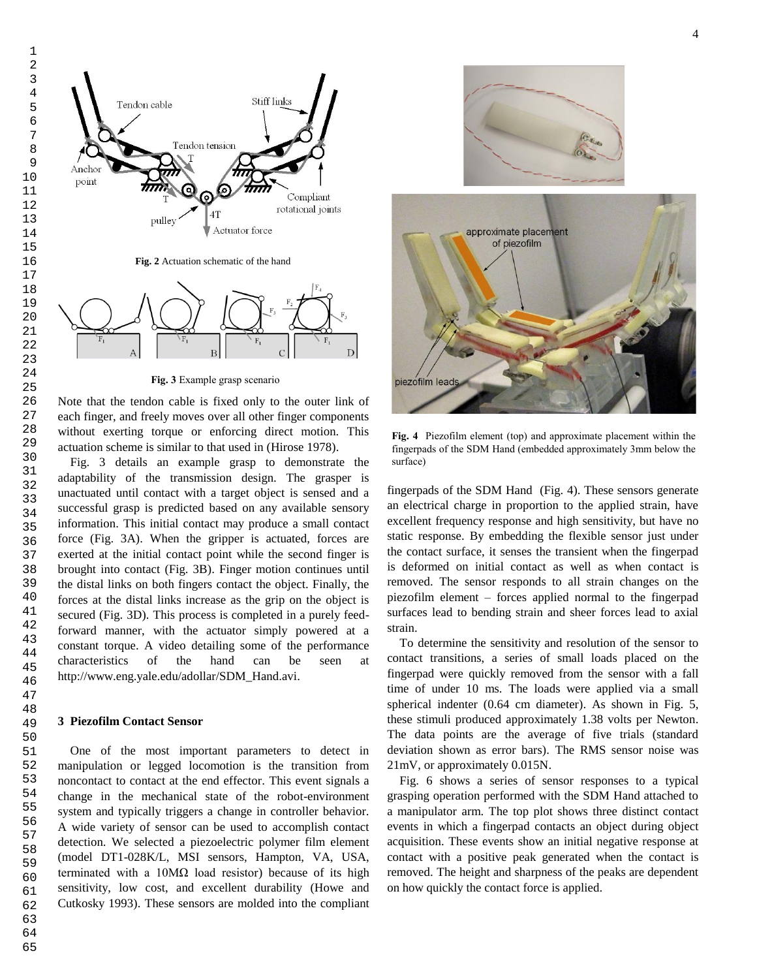

**Fig. 2** Actuation schematic of the hand



**Fig. 3** Example grasp scenario

Note that the tendon cable is fixed only to the outer link of each finger, and freely moves over all other finger components without exerting torque or enforcing direct motion. This actuation scheme is similar to that used in (Hirose 1978).

Fig. 3 details an example grasp to demonstrate the adaptability of the transmission design. The grasper is unactuated until contact with a target object is sensed and a successful grasp is predicted based on any available sensory information. This initial contact may produce a small contact force (Fig. 3A). When the gripper is actuated, forces are exerted at the initial contact point while the second finger is brought into contact (Fig. 3B). Finger motion continues until the distal links on both fingers contact the object. Finally, the forces at the distal links increase as the grip on the object is secured (Fig. 3D). This process is completed in a purely feedforward manner, with the actuator simply powered at a constant torque. A video detailing some of the performance characteristics of the hand can be seen at http://www.eng.yale.edu/adollar/SDM\_Hand.avi.

#### **3 Piezofilm Contact Sensor**

One of the most important parameters to detect in manipulation or legged locomotion is the transition from noncontact to contact at the end effector. This event signals a change in the mechanical state of the robot-environment system and typically triggers a change in controller behavior. A wide variety of sensor can be used to accomplish contact detection. We selected a piezoelectric polymer film element (model DT1-028K/L, MSI sensors, Hampton, VA, USA, terminated with a 10MΩ load resistor) because of its high sensitivity, low cost, and excellent durability (Howe and Cutkosky 1993). These sensors are molded into the compliant





**Fig. 4** Piezofilm element (top) and approximate placement within the fingerpads of the SDM Hand (embedded approximately 3mm below the surface)

fingerpads of the SDM Hand (Fig. 4). These sensors generate an electrical charge in proportion to the applied strain, have excellent frequency response and high sensitivity, but have no static response. By embedding the flexible sensor just under the contact surface, it senses the transient when the fingerpad is deformed on initial contact as well as when contact is removed. The sensor responds to all strain changes on the piezofilm element – forces applied normal to the fingerpad surfaces lead to bending strain and sheer forces lead to axial strain.

To determine the sensitivity and resolution of the sensor to contact transitions, a series of small loads placed on the fingerpad were quickly removed from the sensor with a fall time of under 10 ms. The loads were applied via a small spherical indenter (0.64 cm diameter). As shown in Fig. 5, these stimuli produced approximately 1.38 volts per Newton. The data points are the average of five trials (standard deviation shown as error bars). The RMS sensor noise was 21mV, or approximately 0.015N.

Fig. 6 shows a series of sensor responses to a typical grasping operation performed with the SDM Hand attached to a manipulator arm. The top plot shows three distinct contact events in which a fingerpad contacts an object during object acquisition. These events show an initial negative response at contact with a positive peak generated when the contact is removed. The height and sharpness of the peaks are dependent on how quickly the contact force is applied.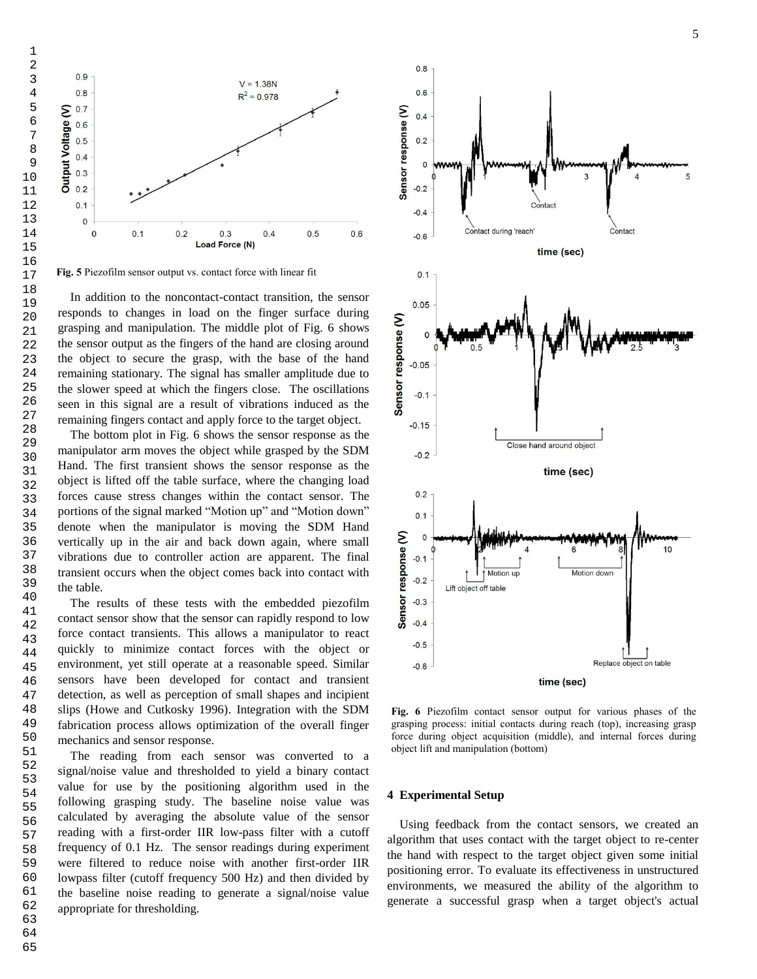

**Fig. 5** Piezofilm sensor output vs. contact force with linear fit

In addition to the noncontact-contact transition, the sensor responds to changes in load on the finger surface during grasping and manipulation. The middle plot of Fig. 6 shows the sensor output as the fingers of the hand are closing around the object to secure the grasp, with the base of the hand remaining stationary. The signal has smaller amplitude due to the slower speed at which the fingers close. The oscillations seen in this signal are a result of vibrations induced as the remaining fingers contact and apply force to the target object.

The bottom plot in Fig. 6 shows the sensor response as the manipulator arm moves the object while grasped by the SDM Hand. The first transient shows the sensor response as the object is lifted off the table surface, where the changing load forces cause stress changes within the contact sensor. The portions of the signal marked "Motion up" and "Motion down" denote when the manipulator is moving the SDM Hand vertically up in the air and back down again, where small vibrations due to controller action are apparent. The final transient occurs when the object comes back into contact with the table.

The results of these tests with the embedded piezofilm contact sensor show that the sensor can rapidly respond to low force contact transients. This allows a manipulator to react quickly to minimize contact forces with the object or environment, yet still operate at a reasonable speed. Similar sensors have been developed for contact and transient detection, as well as perception of small shapes and incipient slips (Howe and Cutkosky 1996). Integration with the SDM fabrication process allows optimization of the overall finger mechanics and sensor response.

The reading from each sensor was converted to a signal/noise value and thresholded to yield a binary contact value for use by the positioning algorithm used in the following grasping study. The baseline noise value was calculated by averaging the absolute value of the sensor reading with a first-order IIR low-pass filter with a cutoff frequency of 0.1 Hz. The sensor readings during experiment were filtered to reduce noise with another first-order IIR lowpass filter (cutoff frequency 500 Hz) and then divided by the baseline noise reading to generate a signal/noise value appropriate for thresholding.



**Fig. 6** Piezofilm contact sensor output for various phases of the grasping process: initial contacts during reach (top), increasing grasp force during object acquisition (middle), and internal forces during object lift and manipulation (bottom)

## **4 Experimental Setup**

Using feedback from the contact sensors, we created an algorithm that uses contact with the target object to re-center the hand with respect to the target object given some initial positioning error. To evaluate its effectiveness in unstructured environments, we measured the ability of the algorithm to generate a successful grasp when a target object's actual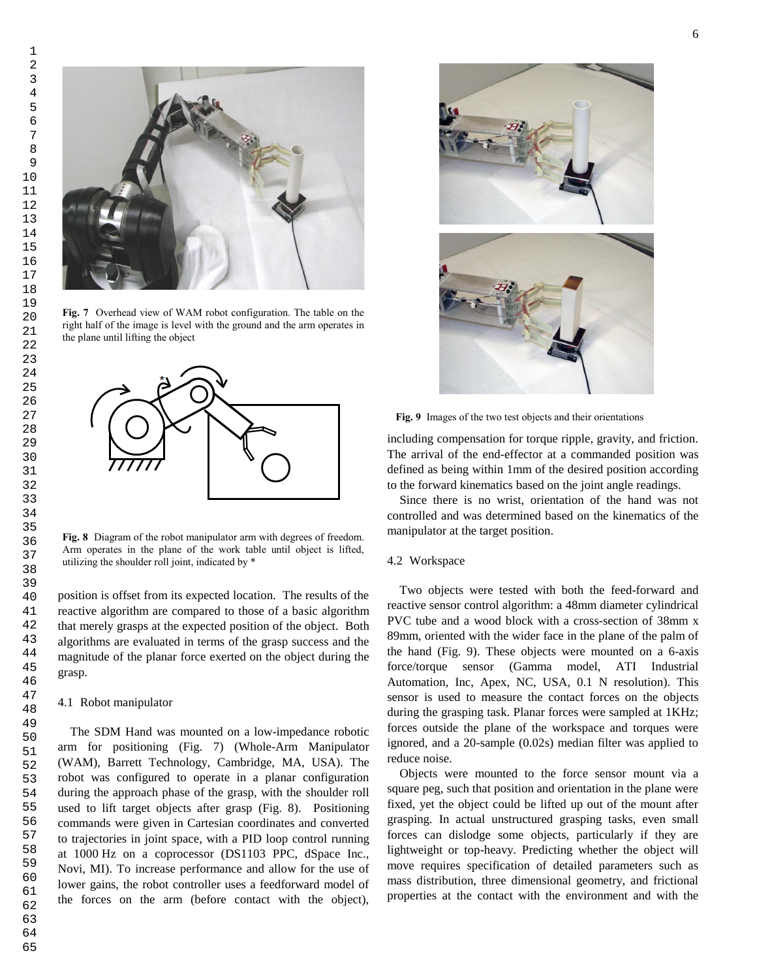

**Fig. 7** Overhead view of WAM robot configuration. The table on the right half of the image is level with the ground and the arm operates in the plane until lifting the object



**Fig. 8** Diagram of the robot manipulator arm with degrees of freedom. Arm operates in the plane of the work table until object is lifted, utilizing the shoulder roll joint, indicated by \*

position is offset from its expected location. The results of the . reactive algorithm are compared to those of a basic algorithm that merely grasps at the expected position of the object. Both algorithms are evaluated in terms of the grasp success and the magnitude of the planar force exerted on the object during the grasp.

#### 4.1 Robot manipulator

The SDM Hand was mounted on a low-impedance robotic arm for positioning (Fig. 7) (Whole-Arm Manipulator (WAM), Barrett Technology, Cambridge, MA, USA). The robot was configured to operate in a planar configuration during the approach phase of the grasp, with the shoulder roll used to lift target objects after grasp (Fig. 8). Positioning commands were given in Cartesian coordinates and converted to trajectories in joint space, with a PID loop control running at 1000 Hz on a coprocessor (DS1103 PPC, dSpace Inc., Novi, MI). To increase performance and allow for the use of lower gains, the robot controller uses a feedforward model of the forces on the arm (before contact with the object),



**Fig. 9** Images of the two test objects and their orientations

including compensation for torque ripple, gravity, and friction. The arrival of the end-effector at a commanded position was .defined as being within 1mm of the desired position according to the forward kinematics based on the joint angle readings.

Since there is no wrist, orientation of the hand was not controlled and was determined based on the kinematics of the manipulator at the target position.

#### 4.2 Workspace

Two objects were tested with both the feed-forward and reactive sensor control algorithm: a 48mm diameter cylindrical PVC tube and a wood block with a cross-section of 38mm x 89mm, oriented with the wider face in the plane of the palm of the hand (Fig. 9). These objects were mounted on a 6-axis force/torque sensor (Gamma model, ATI Industrial Automation, Inc, Apex, NC, USA, 0.1 N resolution). This sensor is used to measure the contact forces on the objects during the grasping task. Planar forces were sampled at 1KHz; forces outside the plane of the workspace and torques were ignored, and a 20-sample (0.02s) median filter was applied to reduce noise.

Objects were mounted to the force sensor mount via a square peg, such that position and orientation in the plane were fixed, yet the object could be lifted up out of the mount after grasping. In actual unstructured grasping tasks, even small forces can dislodge some objects, particularly if they are lightweight or top-heavy. Predicting whether the object will move requires specification of detailed parameters such as mass distribution, three dimensional geometry, and frictional properties at the contact with the environment and with the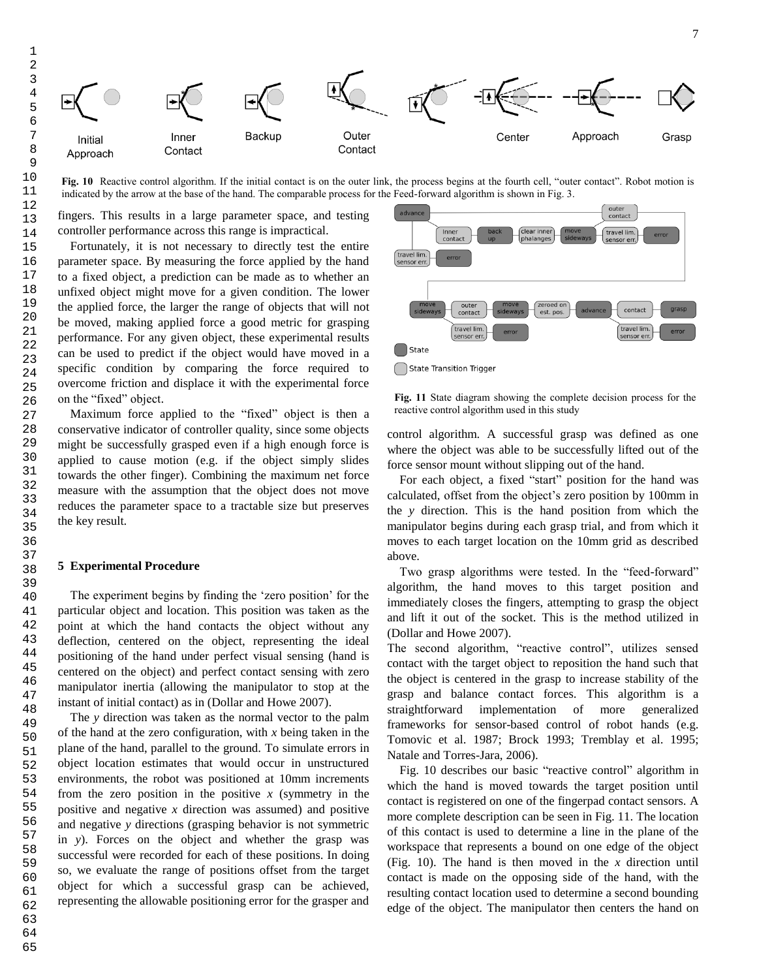

**Fig. 10** Reactive control algorithm. If the initial contact is on the outer link, the process begins at the fourth cell, "outer contact". Robot motion is indicated by the arrow at the base of the hand. The comparable process for the Feed-forward algorithm is shown in Fig. 3.

fingers. This results in a large parameter space, and testing controller performance across this range is impractical. .

Fortunately, it is not necessary to directly test the entire parameter space. By measuring the force applied by the hand to a fixed object, a prediction can be made as to whether an unfixed object might move for a given condition. The lower the applied force, the larger the range of objects that will not be moved, making applied force a good metric for grasping performance. For any given object, these experimental results can be used to predict if the object would have moved in a specific condition by comparing the force required to overcome friction and displace it with the experimental force on the "fixed" object.

Maximum force applied to the "fixed" object is then a conservative indicator of controller quality, since some objects might be successfully grasped even if a high enough force is applied to cause motion (e.g. if the object simply slides towards the other finger). Combining the maximum net force measure with the assumption that the object does not move reduces the parameter space to a tractable size but preserves the key result.

### **5 Experimental Procedure**

The experiment begins by finding the "zero position" for the particular object and location. This position was taken as the point at which the hand contacts the object without any deflection, centered on the object, representing the ideal positioning of the hand under perfect visual sensing (hand is centered on the object) and perfect contact sensing with zero manipulator inertia (allowing the manipulator to stop at the instant of initial contact) as in (Dollar and Howe 2007).

The *y* direction was taken as the normal vector to the palm of the hand at the zero configuration, with *x* being taken in the plane of the hand, parallel to the ground. To simulate errors in object location estimates that would occur in unstructured environments, the robot was positioned at 10mm increments from the zero position in the positive  $x$  (symmetry in the positive and negative *x* direction was assumed) and positive and negative *y* directions (grasping behavior is not symmetric in *y*). Forces on the object and whether the grasp was successful were recorded for each of these positions. In doing so, we evaluate the range of positions offset from the target object for which a successful grasp can be achieved, representing the allowable positioning error for the grasper and



**Fig. 11** State diagram showing the complete decision process for the reactive control algorithm used in this study

control algorithm. A successful grasp was defined as one where the object was able to be successfully lifted out of the force sensor mount without slipping out of the hand.

For each object, a fixed "start" position for the hand was calculated, offset from the object"s zero position by 100mm in the *y* direction. This is the hand position from which the manipulator begins during each grasp trial, and from which it moves to each target location on the 10mm grid as described above.

Two grasp algorithms were tested. In the "feed-forward" algorithm, the hand moves to this target position and immediately closes the fingers, attempting to grasp the object and lift it out of the socket. This is the method utilized in (Dollar and Howe 2007).

The second algorithm, "reactive control", utilizes sensed contact with the target object to reposition the hand such that the object is centered in the grasp to increase stability of the grasp and balance contact forces. This algorithm is a straightforward implementation of more generalized frameworks for sensor-based control of robot hands (e.g. Tomovic et al. 1987; Brock 1993; Tremblay et al. 1995; Natale and Torres-Jara, 2006).

Fig. 10 describes our basic "reactive control" algorithm in which the hand is moved towards the target position until contact is registered on one of the fingerpad contact sensors. A more complete description can be seen in Fig. 11. The location of this contact is used to determine a line in the plane of the workspace that represents a bound on one edge of the object (Fig. 10). The hand is then moved in the *x* direction until contact is made on the opposing side of the hand, with the resulting contact location used to determine a second bounding edge of the object. The manipulator then centers the hand on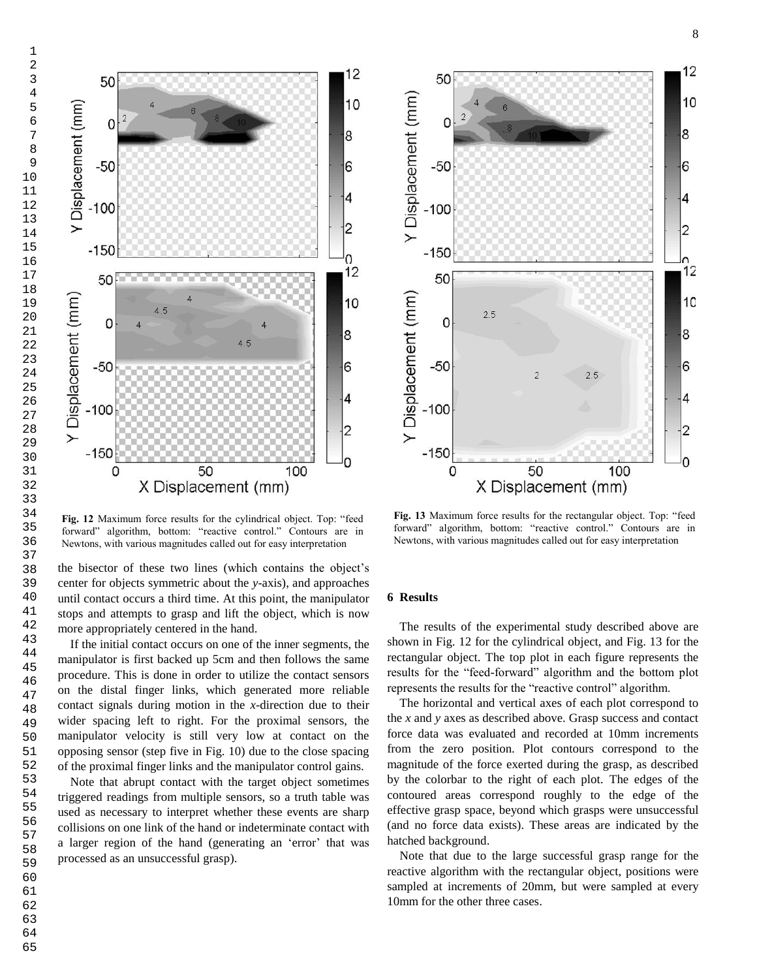

**Fig. 12** Maximum force results for the cylindrical object. Top: "feed forward" algorithm, bottom: "reactive control." Contours are in Newtons, with various magnitudes called out for easy interpretation

the bisector of these two lines (which contains the object"s center for objects symmetric about the *y*-axis), and approaches . until contact occurs a third time. At this point, the manipulator stops and attempts to grasp and lift the object, which is now more appropriately centered in the hand.

If the initial contact occurs on one of the inner segments, the manipulator is first backed up 5cm and then follows the same procedure. This is done in order to utilize the contact sensors on the distal finger links, which generated more reliable contact signals during motion in the *x*-direction due to their wider spacing left to right. For the proximal sensors, the manipulator velocity is still very low at contact on the opposing sensor (step five in Fig. 10) due to the close spacing of the proximal finger links and the manipulator control gains.

Note that abrupt contact with the target object sometimes triggered readings from multiple sensors, so a truth table was used as necessary to interpret whether these events are sharp collisions on one link of the hand or indeterminate contact with a larger region of the hand (generating an 'error' that was processed as an unsuccessful grasp).



**Fig. 13** Maximum force results for the rectangular object. Top: "feed forward" algorithm, bottom: "reactive control." Contours are in Newtons, with various magnitudes called out for easy interpretation

## **6 Results**

The results of the experimental study described above are shown in Fig. 12 for the cylindrical object, and Fig. 13 for the rectangular object. The top plot in each figure represents the results for the "feed-forward" algorithm and the bottom plot represents the results for the "reactive control" algorithm.

The horizontal and vertical axes of each plot correspond to the *x* and *y* axes as described above. Grasp success and contact force data was evaluated and recorded at 10mm increments from the zero position. Plot contours correspond to the magnitude of the force exerted during the grasp, as described by the colorbar to the right of each plot. The edges of the contoured areas correspond roughly to the edge of the effective grasp space, beyond which grasps were unsuccessful (and no force data exists). These areas are indicated by the hatched background.

Note that due to the large successful grasp range for the reactive algorithm with the rectangular object, positions were sampled at increments of 20mm, but were sampled at every 10mm for the other three cases.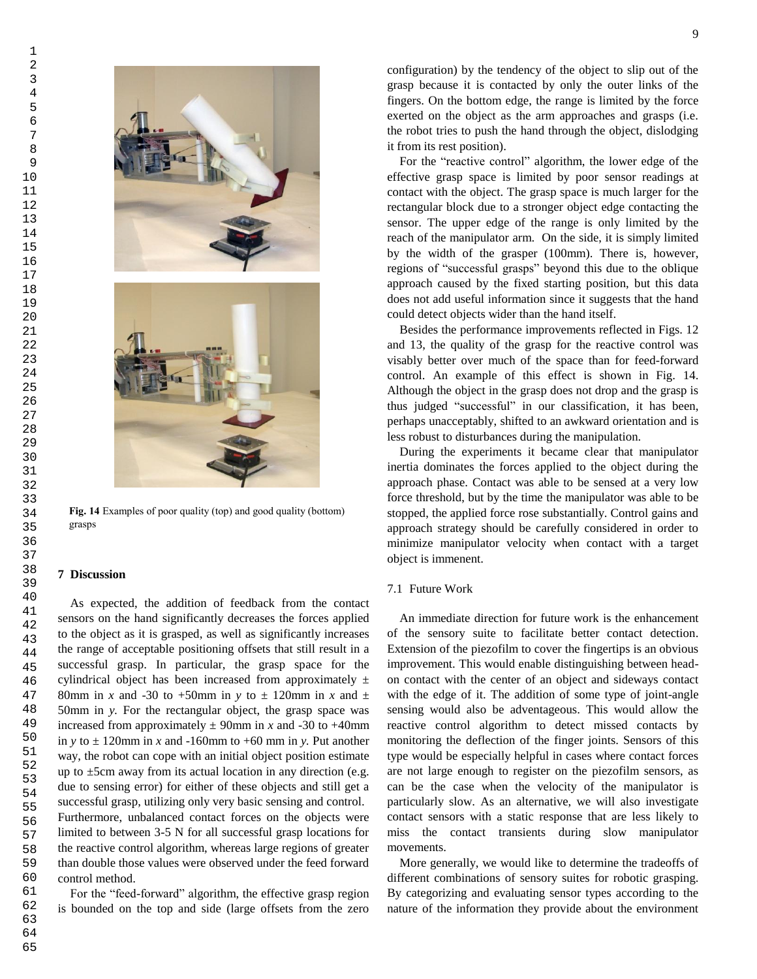65

1



**Fig. 14** Examples of poor quality (top) and good quality (bottom) grasps

#### **7 Discussion**

As expected, the addition of feedback from the contact sensors on the hand significantly decreases the forces applied to the object as it is grasped, as well as significantly increases the range of acceptable positioning offsets that still result in a successful grasp. In particular, the grasp space for the cylindrical object has been increased from approximately  $\pm$ 80mm in *x* and -30 to +50mm in *y* to  $\pm$  120mm in *x* and  $\pm$ 50mm in *y.* For the rectangular object, the grasp space was increased from approximately  $\pm$  90mm in *x* and -30 to +40mm in *y* to  $\pm$  120mm in *x* and -160mm to +60 mm in *y*. Put another way, the robot can cope with an initial object position estimate up to  $\pm$ 5cm away from its actual location in any direction (e.g. due to sensing error) for either of these objects and still get a successful grasp, utilizing only very basic sensing and control. Furthermore, unbalanced contact forces on the objects were limited to between 3-5 N for all successful grasp locations for the reactive control algorithm, whereas large regions of greater than double those values were observed under the feed forward control method.

For the "feed-forward" algorithm, the effective grasp region is bounded on the top and side (large offsets from the zero

configuration) by the tendency of the object to slip out of the grasp because it is contacted by only the outer links of the fingers. On the bottom edge, the range is limited by the force exerted on the object as the arm approaches and grasps (i.e. the robot tries to push the hand through the object, dislodging it from its rest position).

For the "reactive control" algorithm, the lower edge of the effective grasp space is limited by poor sensor readings at contact with the object. The grasp space is much larger for the rectangular block due to a stronger object edge contacting the sensor. The upper edge of the range is only limited by the reach of the manipulator arm. On the side, it is simply limited by the width of the grasper (100mm). There is, however, regions of "successful grasps" beyond this due to the oblique approach caused by the fixed starting position, but this data does not add useful information since it suggests that the hand could detect objects wider than the hand itself.

Besides the performance improvements reflected in Figs. 12 and 13, the quality of the grasp for the reactive control was visably better over much of the space than for feed-forward control. An example of this effect is shown in Fig. 14. Although the object in the grasp does not drop and the grasp is thus judged "successful" in our classification, it has been, perhaps unacceptably, shifted to an awkward orientation and is less robust to disturbances during the manipulation.

During the experiments it became clear that manipulator inertia dominates the forces applied to the object during the approach phase. Contact was able to be sensed at a very low force threshold, but by the time the manipulator was able to be stopped, the applied force rose substantially. Control gains and approach strategy should be carefully considered in order to minimize manipulator velocity when contact with a target object is immenent.

#### 7.1 Future Work

An immediate direction for future work is the enhancement of the sensory suite to facilitate better contact detection. Extension of the piezofilm to cover the fingertips is an obvious improvement. This would enable distinguishing between headon contact with the center of an object and sideways contact with the edge of it. The addition of some type of joint-angle sensing would also be adventageous. This would allow the reactive control algorithm to detect missed contacts by monitoring the deflection of the finger joints. Sensors of this type would be especially helpful in cases where contact forces are not large enough to register on the piezofilm sensors, as can be the case when the velocity of the manipulator is particularly slow. As an alternative, we will also investigate contact sensors with a static response that are less likely to miss the contact transients during slow manipulator movements.

More generally, we would like to determine the tradeoffs of different combinations of sensory suites for robotic grasping. By categorizing and evaluating sensor types according to the nature of the information they provide about the environment